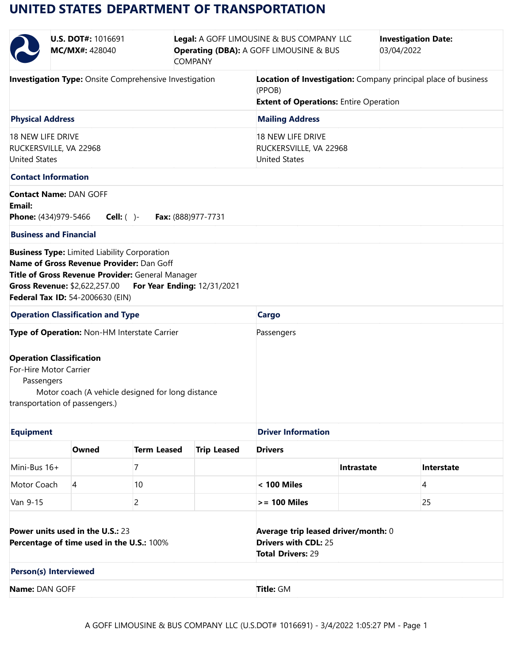## **UNITED STATES DEPARTMENT OF TRANSPORTATION**

|                                                                               | <b>U.S. DOT#: 1016691</b><br>MC/MX#: 428040                                                                                                                                                      |                             | <b>COMPANY</b>                                                                                 | Legal: A GOFF LIMOUSINE & BUS COMPANY LLC<br><b>Investigation Date:</b><br><b>Operating (DBA): A GOFF LIMOUSINE &amp; BUS</b><br>03/04/2022 |            |  |            |  |
|-------------------------------------------------------------------------------|--------------------------------------------------------------------------------------------------------------------------------------------------------------------------------------------------|-----------------------------|------------------------------------------------------------------------------------------------|---------------------------------------------------------------------------------------------------------------------------------------------|------------|--|------------|--|
| <b>Investigation Type:</b> Onsite Comprehensive Investigation                 |                                                                                                                                                                                                  |                             |                                                                                                | Location of Investigation: Company principal place of business<br>(PPOB)<br><b>Extent of Operations: Entire Operation</b>                   |            |  |            |  |
| <b>Physical Address</b>                                                       |                                                                                                                                                                                                  |                             |                                                                                                | <b>Mailing Address</b>                                                                                                                      |            |  |            |  |
| 18 NEW LIFE DRIVE<br>RUCKERSVILLE, VA 22968<br><b>United States</b>           |                                                                                                                                                                                                  |                             |                                                                                                | <b>18 NEW LIFE DRIVE</b><br>RUCKERSVILLE, VA 22968<br><b>United States</b>                                                                  |            |  |            |  |
|                                                                               | <b>Contact Information</b>                                                                                                                                                                       |                             |                                                                                                |                                                                                                                                             |            |  |            |  |
| Email:                                                                        | <b>Contact Name: DAN GOFF</b><br>Phone: (434)979-5466                                                                                                                                            | $Cell:$ ( )-                | Fax: (888) 977-7731                                                                            |                                                                                                                                             |            |  |            |  |
|                                                                               | <b>Business and Financial</b>                                                                                                                                                                    |                             |                                                                                                |                                                                                                                                             |            |  |            |  |
|                                                                               | Name of Gross Revenue Provider: Dan Goff<br>Title of Gross Revenue Provider: General Manager<br>Gross Revenue: \$2,622,257.00<br>Federal Tax ID: 54-2006630 (EIN)                                | For Year Ending: 12/31/2021 |                                                                                                |                                                                                                                                             |            |  |            |  |
|                                                                               | <b>Operation Classification and Type</b>                                                                                                                                                         |                             |                                                                                                |                                                                                                                                             | Cargo      |  |            |  |
| Passengers                                                                    | Type of Operation: Non-HM Interstate Carrier<br><b>Operation Classification</b><br>For-Hire Motor Carrier<br>Motor coach (A vehicle designed for long distance<br>transportation of passengers.) |                             |                                                                                                | Passengers                                                                                                                                  |            |  |            |  |
| <b>Equipment</b>                                                              |                                                                                                                                                                                                  |                             |                                                                                                | <b>Driver Information</b>                                                                                                                   |            |  |            |  |
|                                                                               | Owned                                                                                                                                                                                            | <b>Term Leased</b>          | <b>Trip Leased</b>                                                                             | <b>Drivers</b>                                                                                                                              |            |  |            |  |
| Mini-Bus 16+                                                                  |                                                                                                                                                                                                  | 7                           |                                                                                                |                                                                                                                                             | Intrastate |  | Interstate |  |
| Motor Coach                                                                   | 4                                                                                                                                                                                                | 10                          |                                                                                                | < 100 Miles                                                                                                                                 |            |  | 4          |  |
| Van 9-15                                                                      |                                                                                                                                                                                                  | $\overline{2}$              |                                                                                                | $>= 100$ Miles                                                                                                                              |            |  | 25         |  |
| Power units used in the U.S.: 23<br>Percentage of time used in the U.S.: 100% |                                                                                                                                                                                                  |                             | Average trip leased driver/month: 0<br><b>Drivers with CDL: 25</b><br><b>Total Drivers: 29</b> |                                                                                                                                             |            |  |            |  |
|                                                                               | Person(s) Interviewed                                                                                                                                                                            |                             |                                                                                                |                                                                                                                                             |            |  |            |  |
| Name: DAN GOFF                                                                |                                                                                                                                                                                                  |                             |                                                                                                | Title: GM                                                                                                                                   |            |  |            |  |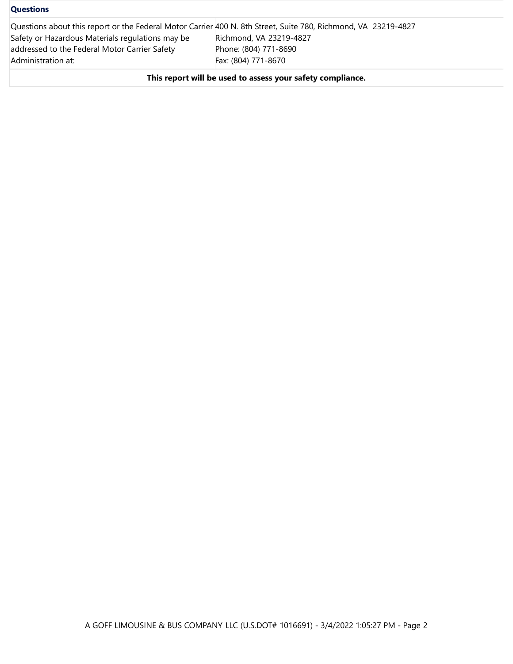| Questions |
|-----------|
|-----------|

| Questions about this report or the Federal Motor Carrier 400 N. 8th Street, Suite 780, Richmond, VA 23219-4827 |                         |
|----------------------------------------------------------------------------------------------------------------|-------------------------|
| Safety or Hazardous Materials regulations may be                                                               | Richmond, VA 23219-4827 |
| addressed to the Federal Motor Carrier Safety                                                                  | Phone: (804) 771-8690   |
| Administration at:                                                                                             | Fax: (804) 771-8670     |

**This report will be used to assess your safety compliance.**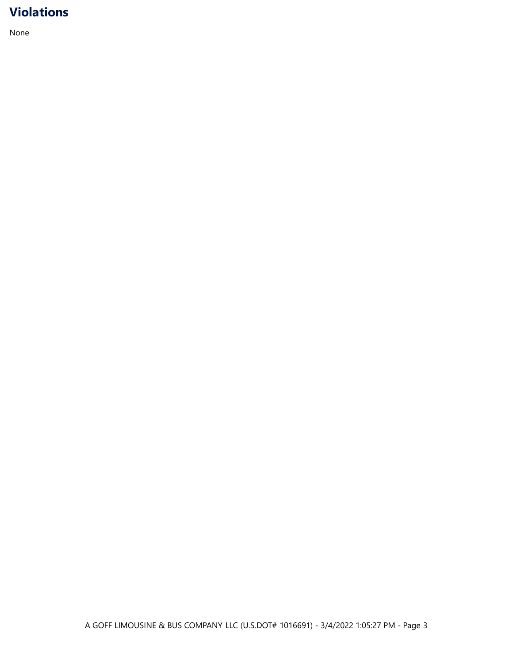# **Violations**

None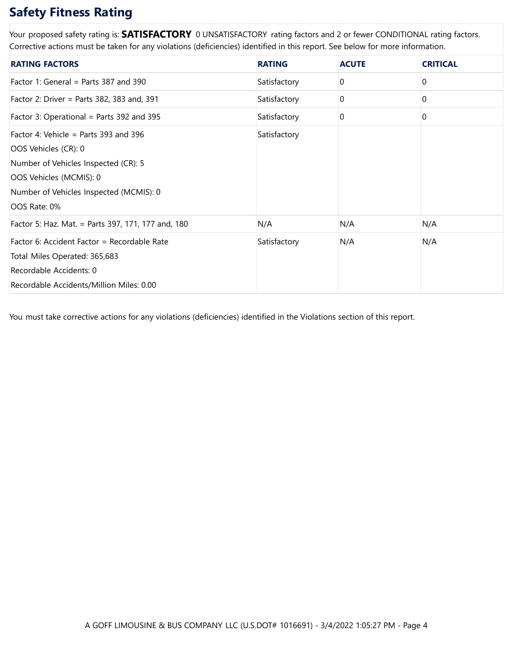## **Safety Fitness Rating**

Your proposed safety rating is: **SATISFACTORY** 0 UNSATISFACTORY rating factors and 2 or fewer CONDITIONAL rating factors. Corrective actions must be taken for any violations (deficiencies) identified in this report. See below for more information.

| <b>RATING FACTORS</b>                                                                                                                                                                       | <b>RATING</b> | <b>ACUTE</b> | <b>CRITICAL</b> |
|---------------------------------------------------------------------------------------------------------------------------------------------------------------------------------------------|---------------|--------------|-----------------|
| Factor 1: General = Parts 387 and 390                                                                                                                                                       | Satisfactory  | 0            | 0               |
| Factor 2: Driver = Parts 382, 383 and, 391                                                                                                                                                  | Satisfactory  | 0            | O               |
| Factor 3: Operational = Parts 392 and 395                                                                                                                                                   | Satisfactory  | 0            | $\Omega$        |
| Factor 4: Vehicle = Parts 393 and 396<br>OOS Vehicles (CR): 0<br>Number of Vehicles Inspected (CR): 5<br>OOS Vehicles (MCMIS): 0<br>Number of Vehicles Inspected (MCMIS): 0<br>OOS Rate: 0% | Satisfactory  |              |                 |
| Factor 5: Haz. Mat. = Parts 397, 171, 177 and, 180                                                                                                                                          | N/A           | N/A          | N/A             |
| Factor 6: Accident Factor = Recordable Rate<br>Total Miles Operated: 365,683<br>Recordable Accidents: 0<br>Recordable Accidents/Million Miles: 0.00                                         | Satisfactory  | N/A          | N/A             |

You must take corrective actions for any violations (deficiencies) identified in the Violations section of this report.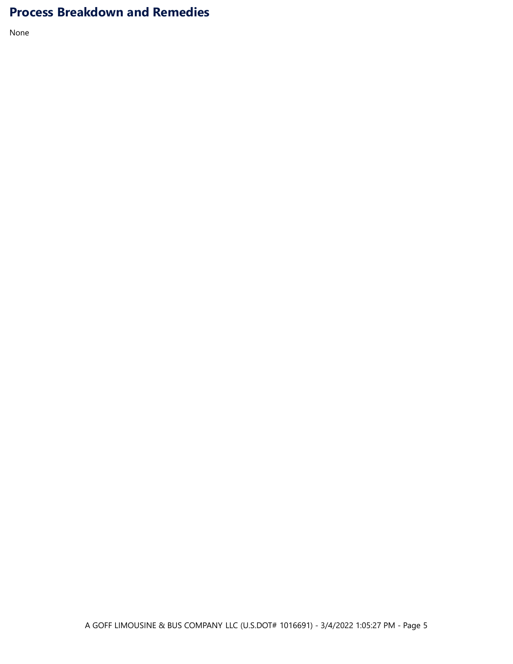## **Process Breakdown and Remedies**

None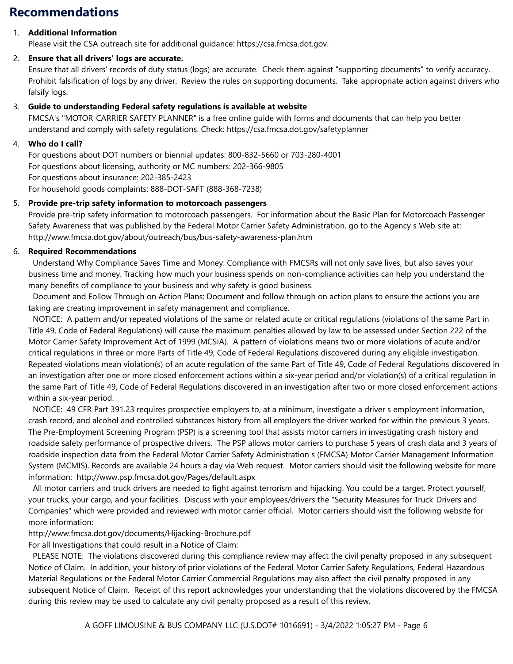## **Recommendations**

### 1. **Additional Information**

Please visit the CSA outreach site for additional guidance: https://csa.fmcsa.dot.gov.

## 2. **Ensure that all drivers' logs are accurate.**

Ensure that all drivers' records of duty status (logs) are accurate. Check them against "supporting documents" to verify accuracy. Prohibit falsification of logs by any driver. Review the rules on supporting documents. Take appropriate action against drivers who falsify logs.

### 3. **Guide to understanding Federal safety regulations is available at website**

FMCSA's "MOTOR CARRIER SAFETY PLANNER" is a free online guide with forms and documents that can help you better understand and comply with safety regulations. Check: https://csa.fmcsa.dot.gov/safetyplanner

#### 4. **Who do I call?**

For questions about DOT numbers or biennial updates: 800-832-5660 or 703-280-4001 For questions about licensing, authority or MC numbers: 202-366-9805 For questions about insurance: 202-385-2423 For household goods complaints: 888-DOT-SAFT (888-368-7238)

### 5. **Provide pre-trip safety information to motorcoach passengers**

Provide pre-trip safety information to motorcoach passengers. For information about the Basic Plan for Motorcoach Passenger Safety Awareness that was published by the Federal Motor Carrier Safety Administration, go to the Agency s Web site at: http://www.fmcsa.dot.gov/about/outreach/bus/bus-safety-awareness-plan.htm

### 6. **Required Recommendations**

Understand Why Compliance Saves Time and Money: Compliance with FMCSRs will not only save lives, but also saves your business time and money. Tracking how much your business spends on non-compliance activities can help you understand the many benefits of compliance to your business and why safety is good business.

Document and Follow Through on Action Plans: Document and follow through on action plans to ensure the actions you are taking are creating improvement in safety management and compliance.

NOTICE: A pattern and/or repeated violations of the same or related acute or critical regulations (violations of the same Part in Title 49, Code of Federal Regulations) will cause the maximum penalties allowed by law to be assessed under Section 222 of the Motor Carrier Safety Improvement Act of 1999 (MCSIA). A pattern of violations means two or more violations of acute and/or critical regulations in three or more Parts of Title 49, Code of Federal Regulations discovered during any eligible investigation. Repeated violations mean violation(s) of an acute regulation of the same Part of Title 49, Code of Federal Regulations discovered in an investigation after one or more closed enforcement actions within a six-year period and/or violation(s) of a critical regulation in the same Part of Title 49, Code of Federal Regulations discovered in an investigation after two or more closed enforcement actions within a six-year period.

NOTICE: 49 CFR Part 391.23 requires prospective employers to, at a minimum, investigate a driver s employment information, crash record, and alcohol and controlled substances history from all employers the driver worked for within the previous 3 years. The Pre-Employment Screening Program (PSP) is a screening tool that assists motor carriers in investigating crash history and roadside safety performance of prospective drivers. The PSP allows motor carriers to purchase 5 years of crash data and 3 years of roadside inspection data from the Federal Motor Carrier Safety Administration s (FMCSA) Motor Carrier Management Information System (MCMIS). Records are available 24 hours a day via Web request. Motor carriers should visit the following website for more information: http://www.psp.fmcsa.dot.gov/Pages/default.aspx

All motor carriers and truck drivers are needed to fight against terrorism and hijacking. You could be a target. Protect yourself, your trucks, your cargo, and your facilities. Discuss with your employees/drivers the "Security Measures for Truck Drivers and Companies" which were provided and reviewed with motor carrier official. Motor carriers should visit the following website for more information:

http://www.fmcsa.dot.gov/documents/Hijacking-Brochure.pdf

For all Investigations that could result in a Notice of Claim:

PLEASE NOTE: The violations discovered during this compliance review may affect the civil penalty proposed in any subsequent Notice of Claim. In addition, your history of prior violations of the Federal Motor Carrier Safety Regulations, Federal Hazardous Material Regulations or the Federal Motor Carrier Commercial Regulations may also affect the civil penalty proposed in any subsequent Notice of Claim. Receipt of this report acknowledges your understanding that the violations discovered by the FMCSA during this review may be used to calculate any civil penalty proposed as a result of this review.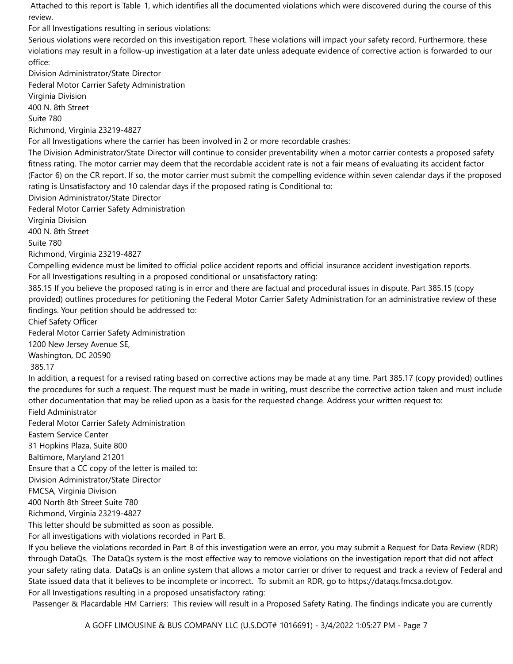Attached to this report is Table 1, which identifies all the documented violations which were discovered during the course of this review.

For all Investigations resulting in serious violations:

Serious violations were recorded on this investigation report. These violations will impact your safety record. Furthermore, these violations may result in a follow-up investigation at a later date unless adequate evidence of corrective action is forwarded to our office:

Division Administrator/State Director Federal Motor Carrier Safety Administration Virginia Division 400 N. 8th Street Suite 780 Richmond, Virginia 23219-4827 For all Investigations where the carrier has been involved in 2 or more recordable crashes: The Division Administrator/State Director will continue to consider preventability when a motor carrier contests a proposed safety fitness rating. The motor carrier may deem that the recordable accident rate is not a fair means of evaluating its accident factor (Factor 6) on the CR report. If so, the motor carrier must submit the compelling evidence within seven calendar days if the proposed rating is Unsatisfactory and 10 calendar days if the proposed rating is Conditional to: Division Administrator/State Director Federal Motor Carrier Safety Administration Virginia Division 400 N. 8th Street Suite 780 Richmond, Virginia 23219-4827 Compelling evidence must be limited to official police accident reports and official insurance accident investigation reports. For all Investigations resulting in a proposed conditional or unsatisfactory rating: 385.15 If you believe the proposed rating is in error and there are factual and procedural issues in dispute, Part 385.15 (copy provided) outlines procedures for petitioning the Federal Motor Carrier Safety Administration for an administrative review of these findings. Your petition should be addressed to: Chief Safety Officer Federal Motor Carrier Safety Administration 1200 New Jersey Avenue SE, Washington, DC 20590 385.17 In addition, a request for a revised rating based on corrective actions may be made at any time. Part 385.17 (copy provided) outlines the procedures for such a request. The request must be made in writing, must describe the corrective action taken and must include other documentation that may be relied upon as a basis for the requested change. Address your written request to: Field Administrator Federal Motor Carrier Safety Administration Eastern Service Center 31 Hopkins Plaza, Suite 800 Baltimore, Maryland 21201 Ensure that a CC copy of the letter is mailed to: Division Administrator/State Director FMCSA, Virginia Division 400 North 8th Street Suite 780 Richmond, Virginia 23219-4827 This letter should be submitted as soon as possible. For all investigations with violations recorded in Part B.

If you believe the violations recorded in Part B of this investigation were an error, you may submit a Request for Data Review (RDR) through DataQs. The DataQs system is the most effective way to remove violations on the investigation report that did not affect your safety rating data. DataQs is an online system that allows a motor carrier or driver to request and track a review of Federal and State issued data that it believes to be incomplete or incorrect. To submit an RDR, go to https://dataqs.fmcsa.dot.gov. For all Investigations resulting in a proposed unsatisfactory rating:

Passenger & Placardable HM Carriers: This review will result in a Proposed Safety Rating. The findings indicate you are currently